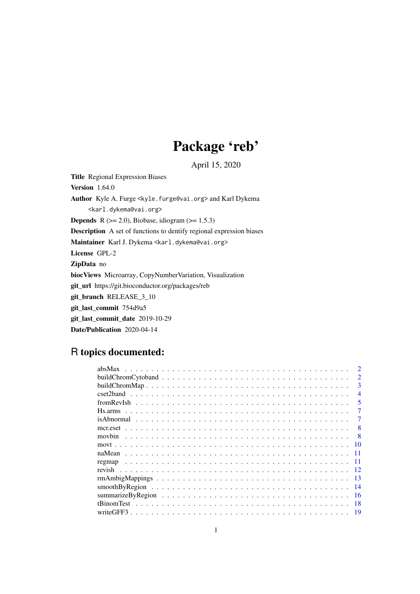# Package 'reb'

April 15, 2020

<span id="page-0-0"></span>Title Regional Expression Biases Version 1.64.0 Author Kyle A. Furge <kyle.furge@vai.org> and Karl Dykema <karl.dykema@vai.org> **Depends** R  $(>= 2.0)$ , Biobase, idiogram  $(>= 1.5.3)$ Description A set of functions to dentify regional expression biases Maintainer Karl J. Dykema <karl.dykema@vai.org> License GPL-2 ZipData no biocViews Microarray, CopyNumberVariation, Visualization git\_url https://git.bioconductor.org/packages/reb git\_branch RELEASE\_3\_10 git\_last\_commit 754d9a5 git\_last\_commit\_date 2019-10-29 Date/Publication 2020-04-14

## R topics documented:

|                                                                                                                  | $\mathcal{D}$  |
|------------------------------------------------------------------------------------------------------------------|----------------|
|                                                                                                                  | 3              |
|                                                                                                                  | $\overline{4}$ |
|                                                                                                                  | 5              |
|                                                                                                                  |                |
|                                                                                                                  |                |
|                                                                                                                  | 8              |
| movbin                                                                                                           |                |
|                                                                                                                  |                |
|                                                                                                                  |                |
|                                                                                                                  |                |
| regmap                                                                                                           |                |
|                                                                                                                  |                |
|                                                                                                                  | 13             |
| $smoothByRegion \dots \dots \dots \dots \dots \dots \dots \dots \dots \dots \dots \dots \dots \dots \dots \dots$ | -14            |
|                                                                                                                  | 16             |
| tBinomTest                                                                                                       | 18             |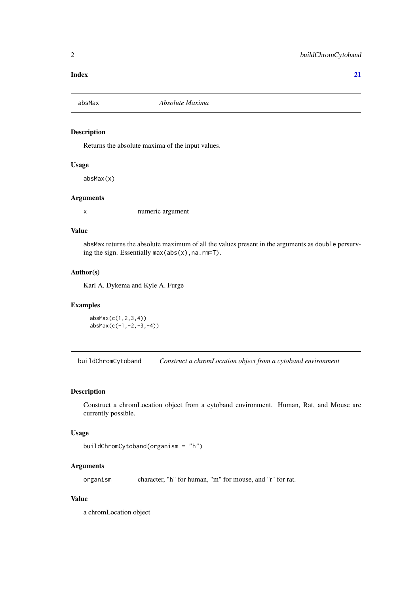#### <span id="page-1-0"></span>**Index** [21](#page-20-0)

#### Description

Returns the absolute maxima of the input values.

#### Usage

absMax(x)

#### Arguments

x numeric argument

#### Value

absMax returns the absolute maximum of all the values present in the arguments as double persurving the sign. Essentially  $max(abs(x),na,rm=T)$ .

#### Author(s)

Karl A. Dykema and Kyle A. Furge

#### Examples

absMax(c(1,2,3,4)) absMax(c(-1,-2,-3,-4))

buildChromCytoband *Construct a chromLocation object from a cytoband environment*

#### Description

Construct a chromLocation object from a cytoband environment. Human, Rat, and Mouse are currently possible.

#### Usage

```
buildChromCytoband(organism = "h")
```
#### Arguments

organism character, "h" for human, "m" for mouse, and "r" for rat.

#### Value

a chromLocation object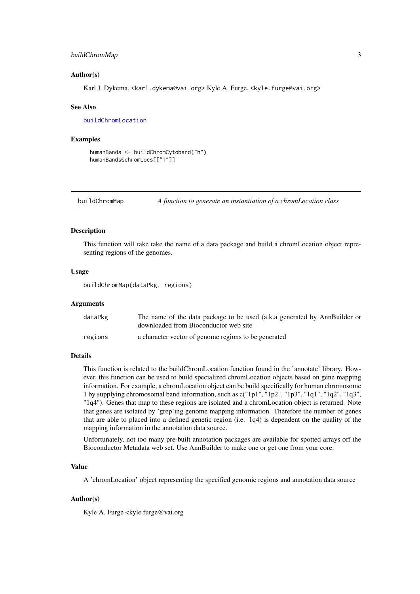#### <span id="page-2-0"></span>buildChromMap 3

#### Author(s)

Karl J. Dykema, <karl.dykema@vai.org> Kyle A. Furge, <kyle.furge@vai.org>

#### See Also

[buildChromLocation](#page-0-0)

#### Examples

```
humanBands <- buildChromCytoband("h")
humanBands@chromLocs[["1"]]
```
<span id="page-2-1"></span>buildChromMap *A function to generate an instantiation of a chromLocation class*

#### Description

This function will take take the name of a data package and build a chromLocation object representing regions of the genomes.

#### Usage

buildChromMap(dataPkg, regions)

#### Arguments

| dataPkg | The name of the data package to be used (a.k.a generated by AnnBuilder or<br>downloaded from Bioconductor web site |
|---------|--------------------------------------------------------------------------------------------------------------------|
| regions | a character vector of genome regions to be generated                                                               |

#### Details

This function is related to the buildChromLocation function found in the 'annotate' library. However, this function can be used to build specialized chromLocation objects based on gene mapping information. For example, a chromLocation object can be build specifically for human chromosome 1 by supplying chromosomal band information, such as c("1p1", "1p2", "1p3", "1q1", "1q2", "1q3", "1q4"). Genes that map to these regions are isolated and a chromLocation object is returned. Note that genes are isolated by 'grep'ing genome mapping information. Therefore the number of genes that are able to placed into a defined genetic region (i.e. 1q4) is dependent on the quality of the mapping information in the annotation data source.

Unfortunately, not too many pre-built annotation packages are available for spotted arrays off the Bioconductor Metadata web set. Use AnnBuilder to make one or get one from your core.

#### Value

A 'chromLocation' object representing the specified genomic regions and annotation data source

#### Author(s)

Kyle A. Furge <kyle.furge@vai.org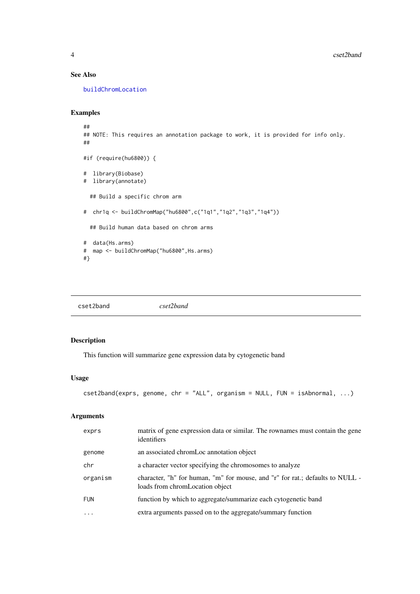#### See Also

[buildChromLocation](#page-0-0)

#### Examples

```
##
## NOTE: This requires an annotation package to work, it is provided for info only.
##
#if (require(hu6800)) {
# library(Biobase)
# library(annotate)
  ## Build a specific chrom arm
# chr1q <- buildChromMap("hu6800",c("1q1","1q2","1q3","1q4"))
  ## Build human data based on chrom arms
# data(Hs.arms)
# map <- buildChromMap("hu6800",Hs.arms)
#}
```
<span id="page-3-1"></span>cset2band *cset2band*

#### Description

This function will summarize gene expression data by cytogenetic band

#### Usage

```
cset2band(exprs, genome, chr = "ALL", organism = NULL, FUN = isAbnormal, ...)
```
#### Arguments

| exprs      | matrix of gene expression data or similar. The rownames must contain the gene<br>identifiers                     |
|------------|------------------------------------------------------------------------------------------------------------------|
| genome     | an associated chromLoc annotation object                                                                         |
| chr        | a character vector specifying the chromosomes to analyze                                                         |
| organism   | character, "h" for human, "m" for mouse, and "r" for rat.; defaults to NULL -<br>loads from chromLocation object |
| <b>FUN</b> | function by which to aggregate/summarize each cytogenetic band                                                   |
| $\cdots$   | extra arguments passed on to the aggregate/summary function                                                      |

<span id="page-3-0"></span>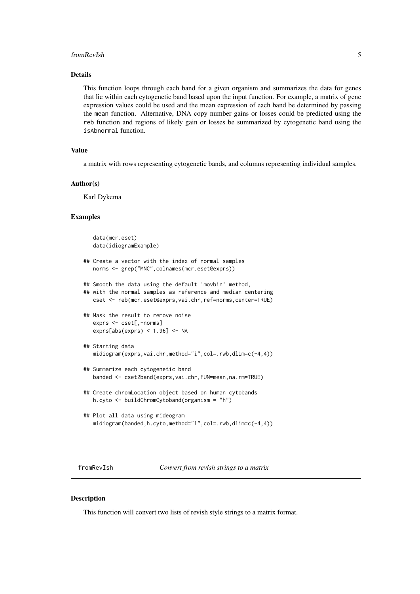#### <span id="page-4-0"></span>fromRevIsh 5

#### Details

This function loops through each band for a given organism and summarizes the data for genes that lie within each cytogenetic band based upon the input function. For example, a matrix of gene expression values could be used and the mean expression of each band be determined by passing the mean function. Alternative, DNA copy number gains or losses could be predicted using the reb function and regions of likely gain or losses be summarized by cytogenetic band using the isAbnormal function.

#### Value

a matrix with rows representing cytogenetic bands, and columns representing individual samples.

#### Author(s)

Karl Dykema

#### Examples

```
data(mcr.eset)
   data(idiogramExample)
## Create a vector with the index of normal samples
   norms <- grep("MNC",colnames(mcr.eset@exprs))
## Smooth the data using the default 'movbin' method,
## with the normal samples as reference and median centering
   cset <- reb(mcr.eset@exprs,vai.chr,ref=norms,center=TRUE)
## Mask the result to remove noise
   exprs <- cset[.-norms]
  exprs[abs(exprs) < 1.96] <- NA
## Starting data
   midiogram(exprs,vai.chr,method="i",col=.rwb,dlim=c(-4,4))
## Summarize each cytogenetic band
   banded <- cset2band(exprs,vai.chr,FUN=mean,na.rm=TRUE)
## Create chromLocation object based on human cytobands
   h.cyto <- buildChromCytoband(organism = "h")
## Plot all data using mideogram
   midiogram(banded,h.cyto,method="i",col=.rwb,dlim=c(-4,4))
```
fromRevIsh *Convert from revish strings to a matrix*

#### Description

This function will convert two lists of revish style strings to a matrix format.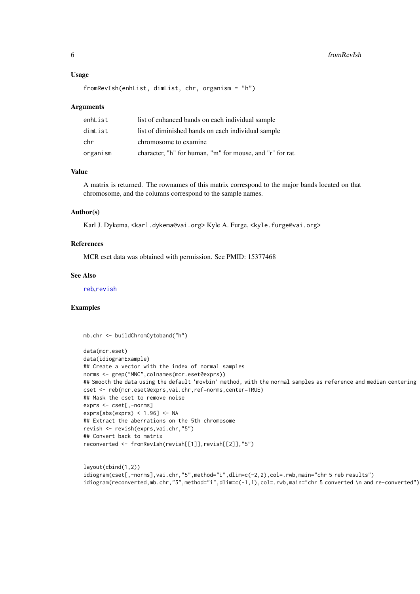#### Usage

```
fromRevIsh(enhList, dimList, chr, organism = "h")
```
#### Arguments

| enhList  | list of enhanced bands on each individual sample          |
|----------|-----------------------------------------------------------|
| dimList  | list of diminished bands on each individual sample        |
| chr      | chromosome to examine                                     |
| organism | character, "h" for human, "m" for mouse, and "r" for rat. |

#### Value

A matrix is returned. The rownames of this matrix correspond to the major bands located on that chromosome, and the columns correspond to the sample names.

#### Author(s)

Karl J. Dykema, <karl.dykema@vai.org> Kyle A. Furge, <kyle.furge@vai.org>

#### References

MCR eset data was obtained with permission. See PMID: 15377468

#### See Also

[reb](#page-13-1),[revish](#page-11-1)

#### Examples

mb.chr <- buildChromCytoband("h")

```
data(mcr.eset)
data(idiogramExample)
## Create a vector with the index of normal samples
norms <- grep("MNC",colnames(mcr.eset@exprs))
## Smooth the data using the default 'movbin' method, with the normal samples as reference and median centering
cset <- reb(mcr.eset@exprs,vai.chr,ref=norms,center=TRUE)
## Mask the cset to remove noise
exprs <- cset[,-norms]
exprs[abs(exprs) < 1.96] <- NA
## Extract the aberrations on the 5th chromosome
revish <- revish(exprs,vai.chr,"5")
## Convert back to matrix
reconverted <- fromRevIsh(revish[[1]],revish[[2]],"5")
```

```
layout(cbind(1,2))
idiogram(cset[,-norms],vai.chr,"5",method="i",dlim=c(-2,2),col=.rwb,main="chr 5 reb results")
idiogram(reconverted,mb.chr,"5",method="i",dlim=c(-1,1),col=.rwb,main="chr 5 converted \n and re-converted")
```
<span id="page-5-0"></span>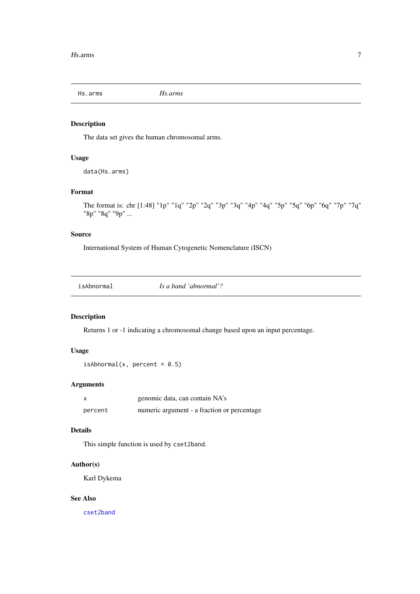<span id="page-6-0"></span>Hs.arms *Hs.arms*

#### Description

The data set gives the human chromosomal arms.

#### Usage

```
data(Hs.arms)
```
#### Format

```
The format is: chr [1:48] "1p" "1q" "2p" "2q" "3p" "3q" "4p" "4q" "5p" "5q" "6p" "6q" "7p" "7q"
"8p" "8q" "9p" ...
```
#### Source

International System of Human Cytogenetic Nomenclature (ISCN)

| isAbnormal |
|------------|
|------------|

#### Description

Returns 1 or -1 indicating a chromosomal change based upon an input percentage.

#### Usage

```
isAbnormal(x, percent = 0.5)
```
#### Arguments

|         | genomic data, can contain NA's              |
|---------|---------------------------------------------|
| percent | numeric argument - a fraction or percentage |

#### Details

This simple function is used by cset2band.

#### Author(s)

Karl Dykema

#### See Also

[cset2band](#page-3-1)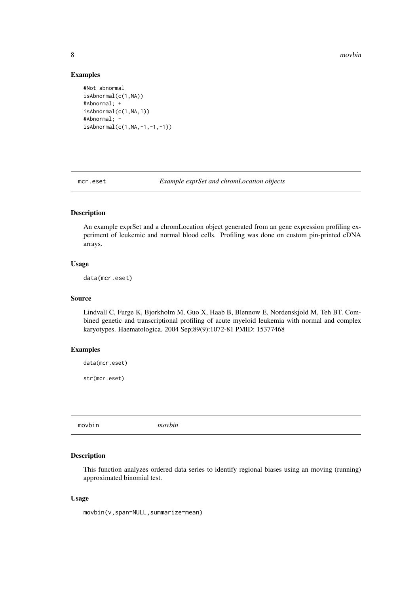<span id="page-7-0"></span>8 movbin and the contract of the contract of the contract of the contract of the contract of the contract of the contract of the contract of the contract of the contract of the contract of the contract of the contract of t

#### Examples

```
#Not abnormal
isAbnormal(c(1,NA))
#Abnormal; +
isAbnormal(c(1,NA,1))
#Abnormal; -
isAbnormal(c(1,NA,-1,-1,-1))
```
mcr.eset *Example exprSet and chromLocation objects*

#### Description

An example exprSet and a chromLocation object generated from an gene expression profiling experiment of leukemic and normal blood cells. Profiling was done on custom pin-printed cDNA arrays.

#### Usage

data(mcr.eset)

#### Source

Lindvall C, Furge K, Bjorkholm M, Guo X, Haab B, Blennow E, Nordenskjold M, Teh BT. Combined genetic and transcriptional profiling of acute myeloid leukemia with normal and complex karyotypes. Haematologica. 2004 Sep;89(9):1072-81 PMID: 15377468

#### Examples

data(mcr.eset)

str(mcr.eset)

<span id="page-7-1"></span>movbin *movbin*

#### Description

This function analyzes ordered data series to identify regional biases using an moving (running) approximated binomial test.

#### Usage

movbin(v,span=NULL,summarize=mean)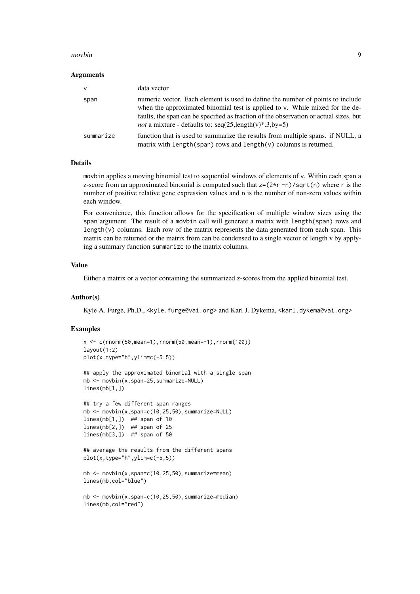#### movbin 9

#### Arguments

| v         | data vector                                                                                                                                                                                                                                                                                                                |
|-----------|----------------------------------------------------------------------------------------------------------------------------------------------------------------------------------------------------------------------------------------------------------------------------------------------------------------------------|
| span      | numeric vector. Each element is used to define the number of points to include<br>when the approximated binomial test is applied to v. While mixed for the de-<br>faults, the span can be specified as fraction of the observation or actual sizes, but<br><i>not</i> a mixture - defaults to: $seq(25.length(v)*.3_by=5)$ |
| summarize | function that is used to summarize the results from multiple spans. if NULL, a<br>matrix with length (span) rows and length $(v)$ columns is returned.                                                                                                                                                                     |

#### Details

movbin applies a moving binomial test to sequential windows of elements of v. Within each span a z-score from an approximated binomial is computed such that  $z=(2*r -n)/sqrt(n)$  where r is the number of positive relative gene expression values and n is the number of non-zero values within each window.

For convenience, this function allows for the specification of multiple window sizes using the span argument. The result of a movbin call will generate a matrix with length(span) rows and length(v) columns. Each row of the matrix represents the data generated from each span. This matrix can be returned or the matrix from can be condensed to a single vector of length v by applying a summary function summarize to the matrix columns.

#### Value

Either a matrix or a vector containing the summarized z-scores from the applied binomial test.

#### Author(s)

Kyle A. Furge, Ph.D., <kyle.furge@vai.org> and Karl J. Dykema, <karl.dykema@vai.org>

#### Examples

lines(mb[1,])

```
x < -c (rnorm(50, mean=1), rnorm(50, mean=-1), rnorm(100))
layout(1:2)
plot(x,type="h",ylim=c(-5,5))
## apply the approximated binomial with a single span
mb <- movbin(x,span=25,summarize=NULL)
```

```
## try a few different span ranges
mb <- movbin(x,span=c(10,25,50),summarize=NULL)
lines(mb[1,]) ## span of 10
lines(mb[2,]) ## span of 25
lines(mb[3,]) ## span of 50
```

```
## average the results from the different spans
plot(x,type="h",ylim=c(-5,5))
```

```
mb <- movbin(x,span=c(10,25,50),summarize=mean)
lines(mb,col="blue")
```

```
mb <- movbin(x,span=c(10,25,50),summarize=median)
lines(mb,col="red")
```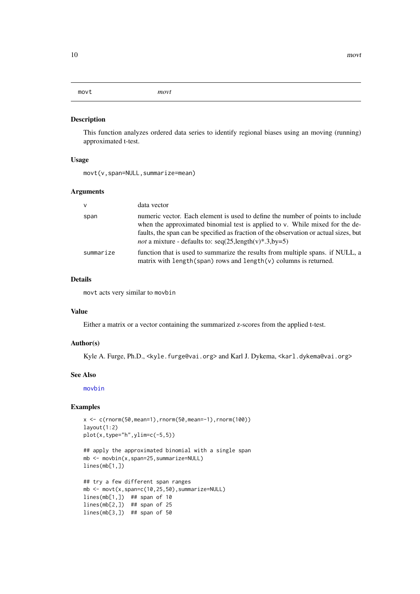<span id="page-9-0"></span>movt *movt*

#### Description

This function analyzes ordered data series to identify regional biases using an moving (running) approximated t-test.

#### Usage

movt(v,span=NULL,summarize=mean)

#### Arguments

| $\vee$    | data vector                                                                                                                                                                                                                                                                                                                  |
|-----------|------------------------------------------------------------------------------------------------------------------------------------------------------------------------------------------------------------------------------------------------------------------------------------------------------------------------------|
| span      | numeric vector. Each element is used to define the number of points to include<br>when the approximated binomial test is applied to v. While mixed for the de-<br>faults, the span can be specified as fraction of the observation or actual sizes, but<br><i>not</i> a mixture - defaults to: $seq(25, length(v)*.3, by=5)$ |
| summarize | function that is used to summarize the results from multiple spans. if NULL, a<br>matrix with length (span) rows and length $(v)$ columns is returned.                                                                                                                                                                       |

#### Details

movt acts very similar to movbin

#### Value

Either a matrix or a vector containing the summarized z-scores from the applied t-test.

#### Author(s)

Kyle A. Furge, Ph.D., <kyle.furge@vai.org> and Karl J. Dykema, <karl.dykema@vai.org>

#### See Also

[movbin](#page-7-1)

#### Examples

```
x < -c(rnorm(50,mean=1),rnorm(50,mean=-1),rnorm(100))
layout(1:2)
plot(x,type="h",ylim=c(-5,5))
## apply the approximated binomial with a single span
mb <- movbin(x,span=25,summarize=NULL)
lines(mb[1,])
## try a few different span ranges
mb \leq movt(x,span=c(10,25,50),summarize=NULL)
lines(mb[1,]) ## span of 10
lines(mb[2,]) ## span of 25
lines(mb[3,]) ## span of 50
```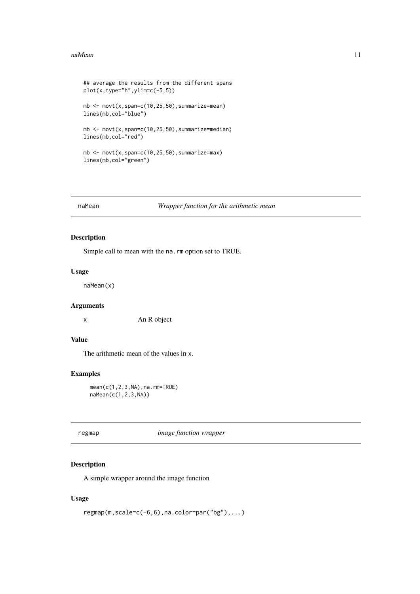#### <span id="page-10-0"></span>naMean 11

```
## average the results from the different spans
plot(x, type="h", ylim=c(-5,5))mb \leq movt(x, span=c(10, 25, 50), summarize=mean)
lines(mb,col="blue")
mb \leq movt(x, span=c(10, 25, 50), summarize=median)
lines(mb,col="red")
mb \leq movt(x,span=c(10,25,50),summarize=max)
lines(mb,col="green")
```
#### naMean *Wrapper function for the arithmetic mean*

#### Description

Simple call to mean with the na.rm option set to TRUE.

#### Usage

naMean(x)

#### Arguments

x An R object

#### Value

The arithmetic mean of the values in x.

#### Examples

mean(c(1,2,3,NA),na.rm=TRUE) naMean(c(1,2,3,NA))

<span id="page-10-1"></span>regmap *image function wrapper*

#### Description

A simple wrapper around the image function

#### Usage

```
regmap(m,scale=c(-6,6),na.color=par("bg"),...)
```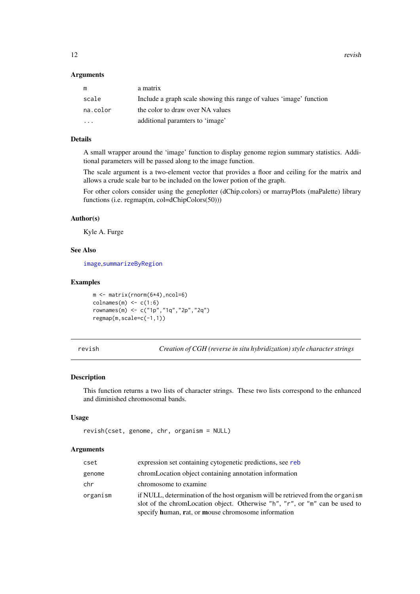<span id="page-11-0"></span>12 revish

#### Arguments

| m                       | a matrix                                                            |
|-------------------------|---------------------------------------------------------------------|
| scale                   | Include a graph scale showing this range of values 'image' function |
| na.color                | the color to draw over NA values                                    |
| $\cdot$ $\cdot$ $\cdot$ | additional paramters to 'image'                                     |

#### Details

A small wrapper around the 'image' function to display genome region summary statistics. Additional parameters will be passed along to the image function.

The scale argument is a two-element vector that provides a floor and ceiling for the matrix and allows a crude scale bar to be included on the lower potion of the graph.

For other colors consider using the geneplotter (dChip.colors) or marrayPlots (maPalette) library functions (i.e. regmap(m, col=dChipColors(50)))

#### Author(s)

Kyle A. Furge

#### See Also

[image](#page-0-0),[summarizeByRegion](#page-15-1)

#### Examples

```
m <- matrix(rnorm(6*4),ncol=6)
colnames(m) \leftarrow c(1:6)rownames(m) <- c("1p","1q","2p","2q")
regmap(m,scale=c(-1,1))
```
<span id="page-11-1"></span>revish *Creation of CGH (reverse in situ hybridization) style character strings*

#### Description

This function returns a two lists of character strings. These two lists correspond to the enhanced and diminished chromosomal bands.

#### Usage

```
revish(cset, genome, chr, organism = NULL)
```
#### Arguments

| cset     | expression set containing cytogenetic predictions, see reb                                                                                                                                                            |
|----------|-----------------------------------------------------------------------------------------------------------------------------------------------------------------------------------------------------------------------|
| genome   | chromLocation object containing annotation information                                                                                                                                                                |
| chr      | chromosome to examine                                                                                                                                                                                                 |
| organism | if NULL, determination of the host organism will be retrieved from the organism<br>slot of the chromLocation object. Otherwise "h", "r", or "m" can be used to<br>specify human, rat, or mouse chromosome information |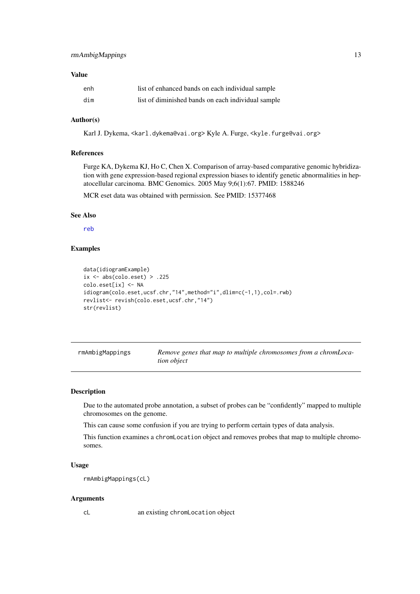#### <span id="page-12-0"></span>Value

| enh | list of enhanced bands on each individual sample   |
|-----|----------------------------------------------------|
| dim | list of diminished bands on each individual sample |

#### Author(s)

Karl J. Dykema, <karl.dykema@vai.org> Kyle A. Furge, <kyle.furge@vai.org>

#### References

Furge KA, Dykema KJ, Ho C, Chen X. Comparison of array-based comparative genomic hybridization with gene expression-based regional expression biases to identify genetic abnormalities in hepatocellular carcinoma. BMC Genomics. 2005 May 9;6(1):67. PMID: 1588246

MCR eset data was obtained with permission. See PMID: 15377468

#### See Also

[reb](#page-13-1)

#### Examples

```
data(idiogramExample)
ix \leftarrow abs(colo.eset) > .225colo.eset[ix] <- NA
idiogram(colo.eset,ucsf.chr,"14",method="i",dlim=c(-1,1),col=.rwb)
revlist<- revish(colo.eset,ucsf.chr,"14")
str(revlist)
```

| rmAmbigMappings | Remove genes that map to multiple chromosomes from a chromLoca- |
|-----------------|-----------------------------------------------------------------|
|                 | <i>tion object</i>                                              |

#### Description

Due to the automated probe annotation, a subset of probes can be "confidently" mapped to multiple chromosomes on the genome.

This can cause some confusion if you are trying to perform certain types of data analysis.

This function examines a chromLocation object and removes probes that map to multiple chromosomes.

#### Usage

rmAmbigMappings(cL)

#### Arguments

cL an existing chromLocation object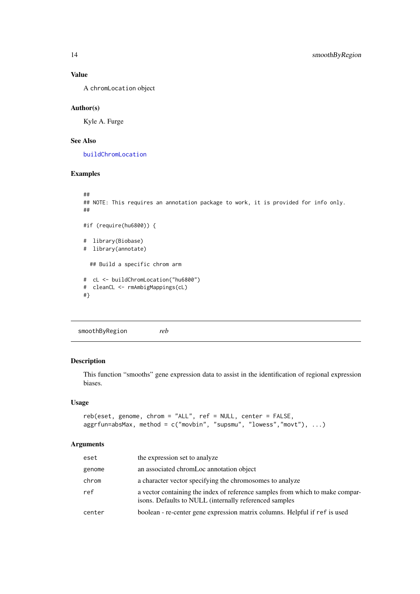#### Value

A chromLocation object

#### Author(s)

Kyle A. Furge

#### See Also

[buildChromLocation](#page-0-0)

#### Examples

```
##
## NOTE: This requires an annotation package to work, it is provided for info only.
##
#if (require(hu6800)) {
# library(Biobase)
# library(annotate)
  ## Build a specific chrom arm
# cL <- buildChromLocation("hu6800")
# cleanCL <- rmAmbigMappings(cL)
#}
```
smoothByRegion *reb*

#### <span id="page-13-1"></span>Description

This function "smooths" gene expression data to assist in the identification of regional expression biases.

#### Usage

```
reb(eset, genome, chrom = "ALL", ref = NULL, center = FALSE,
aggrfun=absMax, method = c("movbin", "supsmu", "lowess","movt"), ...)
```
#### Arguments

| eset   | the expression set to analyze                                                                                                           |
|--------|-----------------------------------------------------------------------------------------------------------------------------------------|
| genome | an associated chromLoc annotation object                                                                                                |
| chrom  | a character vector specifying the chromosomes to analyze                                                                                |
| ref    | a vector containing the index of reference samples from which to make compar-<br>isons. Defaults to NULL (internally referenced samples |
| center | boolean - re-center gene expression matrix columns. Helpful if ref is used                                                              |

<span id="page-13-0"></span>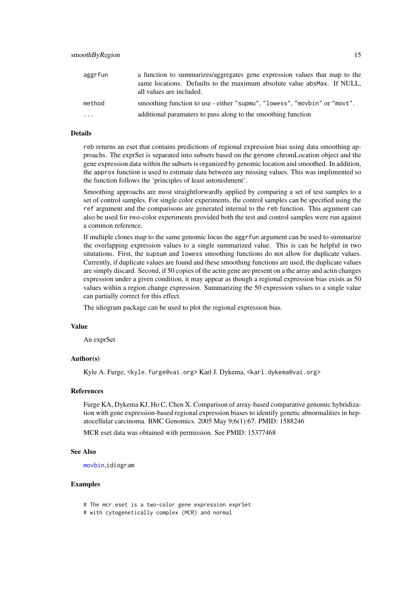<span id="page-14-0"></span>

| aggrfun   | a function to summarizes/aggregates gene expression values that map to the<br>same locations. Defaults to the maximum absolute value abs Max. If NULL,<br>all values are included. |
|-----------|------------------------------------------------------------------------------------------------------------------------------------------------------------------------------------|
| method    | smoothing function to use - either "supmu", "lowess", "movbin" or "movt".                                                                                                          |
| $\ddotsc$ | additional paramaters to pass along to the smoothing function                                                                                                                      |

#### Details

reb returns an eset that contains predictions of regional expression bias using data smoothing approachs. The exprSet is separated into subsets based on the genome chromLocation object and the gene expression data within the subsets is organized by genomic location and smoothed. In addition, the approx function is used to estimate data between any missing values. This was implimented so the function follows the 'principles of least astonishment'.

Smoothing approachs are most straightforwardly applied by comparing a set of test samples to a set of control samples. For single color experiments, the control samples can be specified using the ref argument and the comparisons are generated internal to the reb function. This argument can also be used for two-color experiments provided both the test and control samples were run against a common reference.

If multiple clones map to the same genomic locus the aggrfun argument can be used to summarize the overlapping expression values to a single summarized value. This is can be helpful in two situtations. First, the supsum and lowess smoothing functions do not allow for duplicate values. Currently, if duplicate values are found and these smoothing functions are used, the duplicate values are simply discard. Second, if 50 copies of the actin gene are present on a the array and actin changes expression under a given condition, it may appear as though a regional expression bias exists as 50 values within a region change expression. Summarizing the 50 expression values to a single value can partially correct for this effect.

The idiogram package can be used to plot the regional expression bias.

#### Value

An exprSet

#### Author(s)

Kyle A. Furge, <kyle.furge@vai.org> Karl J. Dykema, <karl.dykema@vai.org>

#### References

Furge KA, Dykema KJ, Ho C, Chen X. Comparison of array-based comparative genomic hybridization with gene expression-based regional expression biases to identify genetic abnormalities in hepatocellular carcinoma. BMC Genomics. 2005 May 9;6(1):67. PMID: 1588246

MCR eset data was obtained with permission. See PMID: 15377468

#### See Also

[movbin](#page-7-1),idiogram

#### Examples

- # The mcr.eset is a two-color gene expression exprSet
- # with cytogenetically complex (MCR) and normal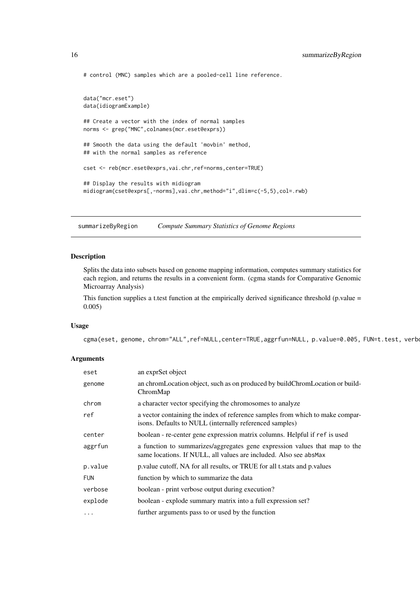```
# control (MNC) samples which are a pooled-cell line reference.
data("mcr.eset")
data(idiogramExample)
## Create a vector with the index of normal samples
norms <- grep("MNC",colnames(mcr.eset@exprs))
## Smooth the data using the default 'movbin' method,
## with the normal samples as reference
cset <- reb(mcr.eset@exprs,vai.chr,ref=norms,center=TRUE)
## Display the results with midiogram
midiogram(cset@exprs[,-norms],vai.chr,method="i",dlim=c(-5,5),col=.rwb)
```
<span id="page-15-1"></span>summarizeByRegion *Compute Summary Statistics of Genome Regions*

#### Description

Splits the data into subsets based on genome mapping information, computes summary statistics for each region, and returns the results in a convenient form. (cgma stands for Comparative Genomic Microarray Analysis)

This function supplies a t.test function at the empirically derived significance threshold (p.value = 0.005)

#### Usage

cgma(eset, genome, chrom="ALL",ref=NULL,center=TRUE,aggrfun=NULL, p.value=0.005, FUN=t.test, verb

#### Arguments

| eset       | an exprSet object                                                                                                                               |
|------------|-------------------------------------------------------------------------------------------------------------------------------------------------|
| genome     | an chromLocation object, such as on produced by buildChromLocation or build-<br>ChromMap                                                        |
| chrom      | a character vector specifying the chromosomes to analyze                                                                                        |
| ref        | a vector containing the index of reference samples from which to make compar-<br>isons. Defaults to NULL (internally referenced samples)        |
| center     | boolean - re-center gene expression matrix columns. Helpful if ref is used                                                                      |
| aggrfun    | a function to summarizes/aggregates gene expression values that map to the<br>same locations. If NULL, all values are included. Also see absMax |
| p.value    | p value cutoff, NA for all results, or TRUE for all tast and p values                                                                           |
| <b>FUN</b> | function by which to summarize the data                                                                                                         |
| verbose    | boolean - print verbose output during execution?                                                                                                |
| explode    | boolean - explode summary matrix into a full expression set?                                                                                    |
| $\cdots$   | further arguments pass to or used by the function                                                                                               |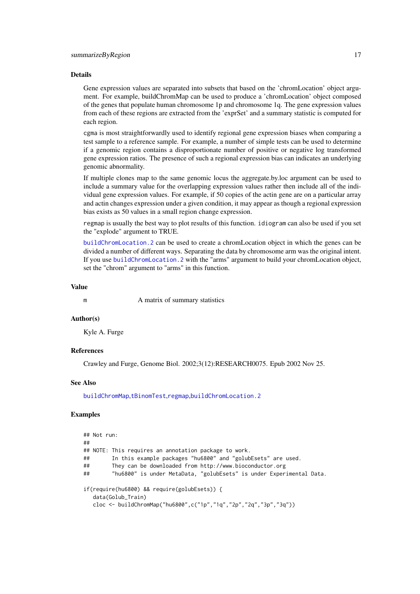#### <span id="page-16-0"></span>Details

Gene expression values are separated into subsets that based on the 'chromLocation' object argument. For example, buildChromMap can be used to produce a 'chromLocation' object composed of the genes that populate human chromosome 1p and chromosome 1q. The gene expression values from each of these regions are extracted from the 'exprSet' and a summary statistic is computed for each region.

cgma is most straightforwardly used to identify regional gene expression biases when comparing a test sample to a reference sample. For example, a number of simple tests can be used to determine if a genomic region contains a disproportionate number of positive or negative log transformed gene expression ratios. The presence of such a regional expression bias can indicates an underlying genomic abnormality.

If multiple clones map to the same genomic locus the aggregate.by.loc argument can be used to include a summary value for the overlapping expression values rather then include all of the individual gene expression values. For example, if 50 copies of the actin gene are on a particular array and actin changes expression under a given condition, it may appear as though a regional expression bias exists as 50 values in a small region change expression.

regmap is usually the best way to plot results of this function. idiogram can also be used if you set the "explode" argument to TRUE.

[buildChromLocation.2](#page-0-0) can be used to create a chromLocation object in which the genes can be divided a number of different ways. Separating the data by chromosome arm was the original intent. If you use [buildChromLocation.2](#page-0-0) with the "arms" argument to build your chromLocation object, set the "chrom" argument to "arms" in this function.

#### Value

m A matrix of summary statistics

#### Author(s)

Kyle A. Furge

#### References

Crawley and Furge, Genome Biol. 2002;3(12):RESEARCH0075. Epub 2002 Nov 25.

#### See Also

[buildChromMap](#page-2-1),[tBinomTest](#page-17-1),[regmap](#page-10-1),[buildChromLocation.2](#page-0-0)

#### Examples

```
## Not run:
##
## NOTE: This requires an annotation package to work.
## In this example packages "hu6800" and "golubEsets" are used.
## They can be downloaded from http://www.bioconductor.org
## "hu6800" is under MetaData, "golubEsets" is under Experimental Data.
if(require(hu6800) && require(golubEsets)) {
  data(Golub_Train)
  cloc <- buildChromMap("hu6800",c("1p","1q","2p","2q","3p","3q"))
```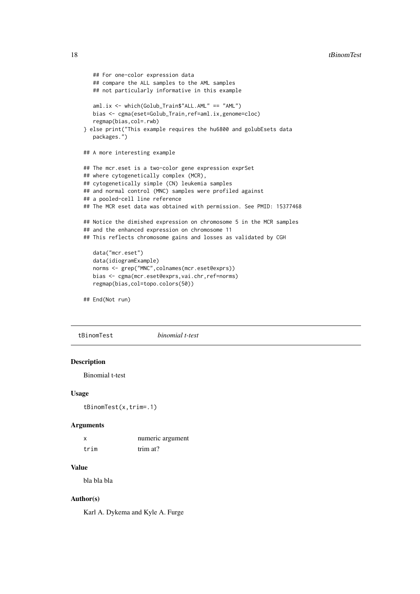```
## For one-color expression data
   ## compare the ALL samples to the AML samples
   ## not particularly informative in this example
   aml.ix <- which(Golub_Train$"ALL.AML" == "AML")
   bias <- cgma(eset=Golub_Train,ref=aml.ix,genome=cloc)
   regmap(bias,col=.rwb)
} else print("This example requires the hu6800 and golubEsets data
   packages.")
## A more interesting example
## The mcr.eset is a two-color gene expression exprSet
## where cytogenetically complex (MCR),
## cytogenetically simple (CN) leukemia samples
## and normal control (MNC) samples were profiled against
## a pooled-cell line reference
## The MCR eset data was obtained with permission. See PMID: 15377468
## Notice the dimished expression on chromosome 5 in the MCR samples
## and the enhanced expression on chromosome 11
## This reflects chromosome gains and losses as validated by CGH
   data("mcr.eset")
   data(idiogramExample)
   norms <- grep("MNC",colnames(mcr.eset@exprs))
   bias <- cgma(mcr.eset@exprs,vai.chr,ref=norms)
   regmap(bias,col=topo.colors(50))
## End(Not run)
```
<span id="page-17-1"></span>tBinomTest *binomial t-test*

#### Description

Binomial t-test

#### Usage

tBinomTest(x,trim=.1)

#### Arguments

| X    | numeric argument |
|------|------------------|
| trim | trim at?         |

#### Value

bla bla bla

#### Author(s)

Karl A. Dykema and Kyle A. Furge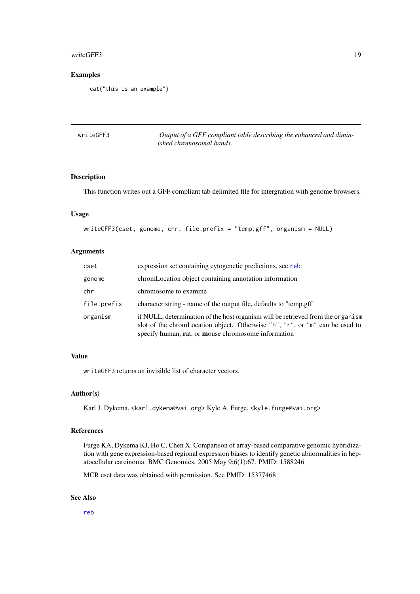#### <span id="page-18-0"></span>writeGFF3 19

#### Examples

cat("this is an example")

| writeGFF3 | Output of a GFF compliant table describing the enhanced and dimin- |
|-----------|--------------------------------------------------------------------|
|           | ished chromosomal bands.                                           |

#### Description

This function writes out a GFF compliant tab delimited file for intergration with genome browsers.

#### Usage

writeGFF3(cset, genome, chr, file.prefix = "temp.gff", organism = NULL)

#### Arguments

| cset        | expression set containing cytogenetic predictions, see reb                                                                                                                                                            |
|-------------|-----------------------------------------------------------------------------------------------------------------------------------------------------------------------------------------------------------------------|
| genome      | chromLocation object containing annotation information                                                                                                                                                                |
| chr         | chromosome to examine                                                                                                                                                                                                 |
| file.prefix | character string - name of the output file, defaults to "temp.gff"                                                                                                                                                    |
| organism    | if NULL, determination of the host organism will be retrieved from the organism<br>slot of the chromLocation object. Otherwise "h", "r", or "m" can be used to<br>specify human, rat, or mouse chromosome information |

#### Value

writeGFF3 returns an invisible list of character vectors.

#### Author(s)

Karl J. Dykema, <karl.dykema@vai.org> Kyle A. Furge, <kyle.furge@vai.org>

#### References

Furge KA, Dykema KJ, Ho C, Chen X. Comparison of array-based comparative genomic hybridization with gene expression-based regional expression biases to identify genetic abnormalities in hepatocellular carcinoma. BMC Genomics. 2005 May 9;6(1):67. PMID: 1588246

MCR eset data was obtained with permission. See PMID: 15377468

#### See Also

[reb](#page-13-1)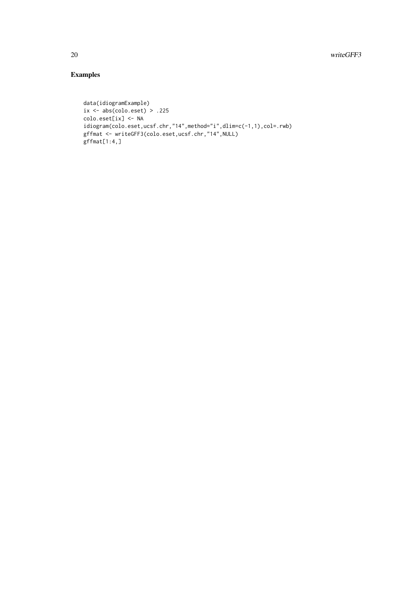### Examples

```
data(idiogramExample)
ix \leq abs(colo.eset) > .225
colo.eset[ix] <- NA
idiogram(colo.eset,ucsf.chr,"14",method="i",dlim=c(-1,1),col=.rwb)
gffmat <- writeGFF3(colo.eset,ucsf.chr,"14",NULL)
gffmat[1:4,]
```